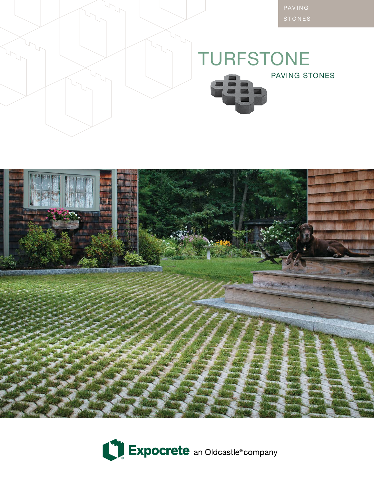